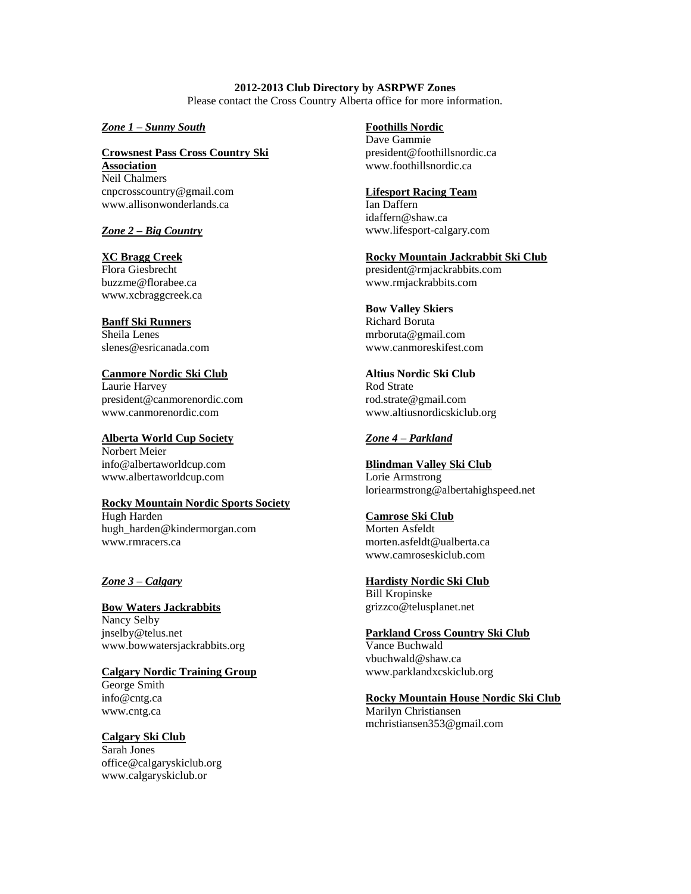**2012-2013 Club Directory by ASRPWF Zones** Please contact the Cross Country Alberta office for more information.

*Zone 1 – Sunny South*

#### **Crowsnest Pass Cross Country Ski Association** Neil Chalmers cnpcrosscountry@gmail.com www.allisonwonderlands.ca

## *Zone 2 – Big Country*

#### **XC Bragg Creek** Flora Giesbrecht buzzme@florabee.ca www.xcbraggcreek.ca

## **Banff Ski Runners**

Sheila Lenes slenes@esricanada.com

## **Canmore Nordic Ski Club**

Laurie Harvey president@canmorenordic.com www.canmorenordic.com

#### **Alberta World Cup Society**

Norbert Meier info@albertaworldcup.com www.albertaworldcup.com

#### **Rocky Mountain Nordic Sports Society**

Hugh Harden hugh\_harden@kindermorgan.com www.rmracers.ca

#### *Zone 3 – Calgary*

#### **Bow Waters Jackrabbits** Nancy Selby jnselby@telus.net www.bowwatersjackrabbits.org

### **Calgary Nordic Training Group**

George Smith info@cntg.ca www.cntg.ca

## **Calgary Ski Club**

Sarah Jones office@calgaryskiclub.org www.calgaryskiclub.or

**Foothills Nordic**

Dave Gammie president@foothillsnordic.ca www.foothillsnordic.ca

## **Lifesport Racing Team**

Ian Daffern idaffern@shaw.ca www.lifesport-calgary.com

## **Rocky Mountain Jackrabbit Ski Club**

president@rmjackrabbits.com www.rmjackrabbits.com

## **Bow Valley Skiers**

Richard Boruta mrboruta@gmail.com www.canmoreskifest.com

# **Altius Nordic Ski Club** Rod Strate

rod.strate@gmail.com www.altiusnordicskiclub.org

## *Zone 4 – Parkland*

# **Blindman Valley Ski Club**

Lorie Armstrong loriearmstrong@albertahighspeed.net

### **Camrose Ski Club**

Morten Asfeldt morten.asfeldt@ualberta.ca www.camroseskiclub.com

#### **Hardisty Nordic Ski Club**

Bill Kropinske grizzco@telusplanet.net

#### **Parkland Cross Country Ski Club** Vance Buchwald

vbuchwald@shaw.ca www.parklandxcskiclub.org

## **Rocky Mountain House Nordic Ski Club**

Marilyn Christiansen mchristiansen353@gmail.com